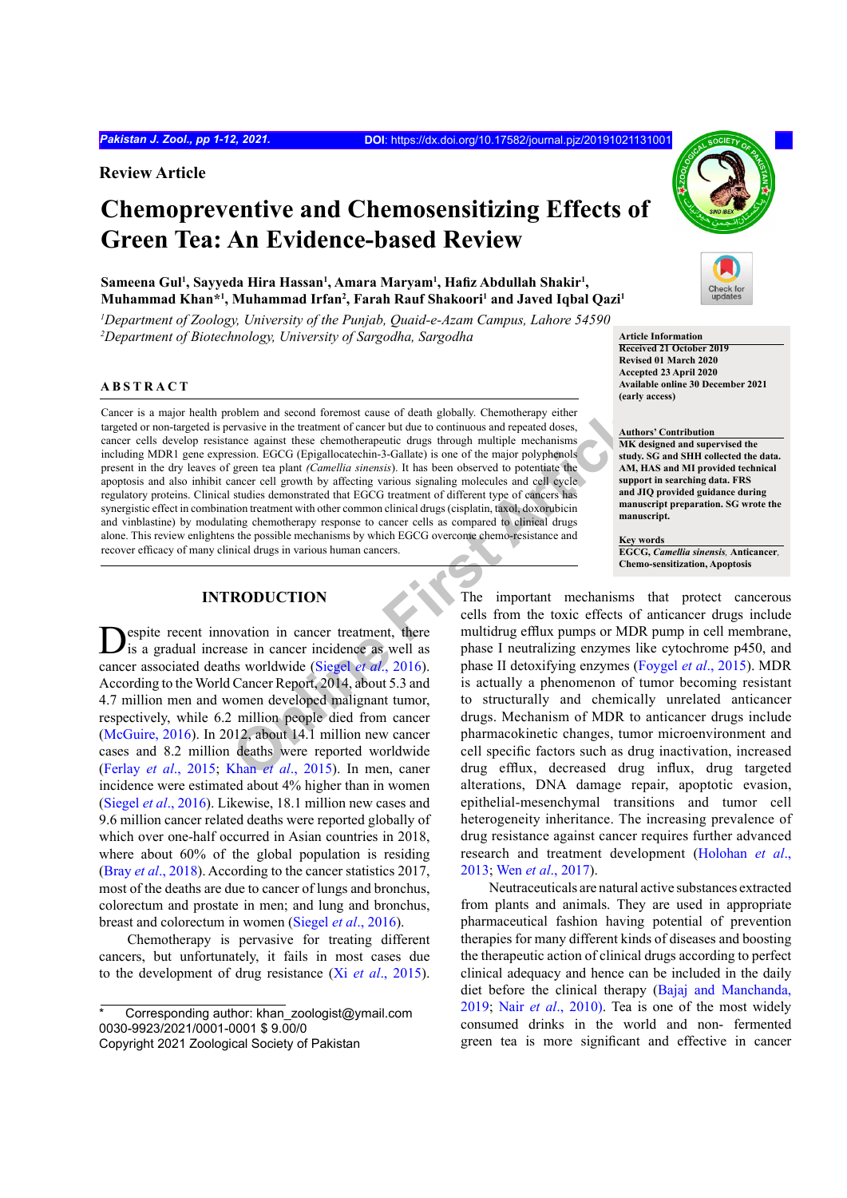**Review Article**

# **Chemopreventive and Chemosensitizing Effects of Green Tea: An Evidence-based Review**

Sameena Gul<sup>1</sup>, Sayyeda Hira Hassan<sup>1</sup>, Amara Maryam<sup>1</sup>, Hafiz Abdullah Shakir<sup>1</sup>, **Muhammad Khan\*1 , Muhammad Irfan2 , Farah Rauf Shakoori<sup>1</sup> and Javed Iqbal Qazi1**

*1 Department of Zoology, University of the Punjab, Quaid-e-Azam Campus, Lahore 54590* <sup>2</sup>Department of Biotechnology, University of Sargodha, Sargodha **Article Information** 

## **ABSTRACT**

Fraisive in the treatment of cancer but due to continuous and repeated doses,<br>
ance against these chemotherapeutic drugs through multiple mechanisms<br>
signon. EGCG (Epigallocatechin-3-Gallate) is one of the major polyphenol Cancer is a major health problem and second foremost cause of death globally. Chemotherapy either targeted or non-targeted is pervasive in the treatment of cancer but due to continuous and repeated doses, cancer cells develop resistance against these chemotherapeutic drugs through multiple mechanisms including MDR1 gene expression. EGCG (Epigallocatechin-3-Gallate) is one of the major polyphenols present in the dry leaves of green tea plant *(Camellia sinensis*). It has been observed to potentiate the apoptosis and also inhibit cancer cell growth by affecting various signaling molecules and cell cycle regulatory proteins. Clinical studies demonstrated that EGCG treatment of different type of cancers has synergistic effect in combination treatment with other common clinical drugs (cisplatin, taxol, doxorubicin and vinblastine) by modulating chemotherapy response to cancer cells as compared to clinical drugs alone. This review enlightens the possible mechanisms by which EGCG overcome chemo-resistance and recover efficacy of many clinical drugs in various human cancers.

## **INTRODUCTION**

espite recent innovation in cancer treatment, there is a gradual increase in cancer incidence as well as cancer associated deaths worldwide (Siegel *et al*., 2016). According to the World Cancer Report, 2014, about 5.3 and 4.7 million men and women developed malignant tumor, respectively, while 6.2 million people died from cancer (McGuire, 2016). In 2012, about 14.1 million new cancer cases and 8.2 million deaths were reported worldwide (Ferlay *et al*[., 2015;](#page-7-0) Khan *et al*., 2015). In men, caner incidence were estimated about 4% higher than in women (Siegel *et al*., 2016). Likewise, 18.1 million new cases and 9.6 million cancer related deaths were reported globally of which over one-half occurred in Asian countries in 2018, where about 60% of the global population is residing (Bray *et al*[., 2018\)](#page-7-1). According to the cancer statistics 2017, most of the deaths are due to cancer of lungs and bronchus, colorectum and prostate in men; and lung and bronchus, breast and colorectum in women (Siegel *et al*., 2016).

Chemotherapy is pervasive for treating different cancers, but unfortunately, it fails in most cases due to the development of drug resistance (Xi *et al*., 2015).



**Received 21 October 2019 Revised 01 March 2020 Accepted 23 April 2020 Available online 30 December 2021 (early access)**

#### **Authors' Contribution**

**MK designed and supervised the study. SG and SHH collected the data. AM, HAS and MI provided technical support in searching data. FRS and JIQ provided guidance during manuscript preparation. SG wrote the manuscript.**

**Key words EGCG,** *Camellia sinensis,* **Anticancer***,*  **Chemo-sensitization, Apoptosis**

The important mechanisms that protect cancerous cells from the toxic effects of anticancer drugs include multidrug efflux pumps or MDR pump in cell membrane, phase I neutralizing enzymes like cytochrome p450, and phase II detoxifying enzymes ([Foygel](#page-7-2) *et al*., 2015). MDR is actually a phenomenon of tumor becoming resistant to structurally and chemically unrelated anticancer drugs. Mechanism of MDR to anticancer drugs include pharmacokinetic changes, tumor microenvironment and cell specific factors such as drug inactivation, increased drug efflux, decreased drug influx, drug targeted alterations, DNA damage repair, apoptotic evasion, epithelial-mesenchymal transitions and tumor cell heterogeneity inheritance. The increasing prevalence of drug resistance against cancer requires further advanced research and treatment development ([Holohan](#page-7-3) *et al*., [2013;](#page-7-3) Wen *et al*., 2017).

Neutraceuticals are natural active substances extracted from plants and animals. They are used in appropriate pharmaceutical fashion having potential of prevention therapies for many different kinds of diseases and boosting the therapeutic action of clinical drugs according to perfect clinical adequacy and hence can be included in the daily diet before the clinical therapy ([Bajaj and Manchanda,](#page-6-0) [2019;](#page-6-0) Nair *et al*., 2010). Tea is one of the most widely consumed drinks in the world and non- fermented green tea is more significant and effective in cancer

Corresponding author: khan\_zoologist@ymail.com 0030-9923/2021/0001-0001 \$ 9.00/0

Copyright 2021 Zoological Society of Pakistan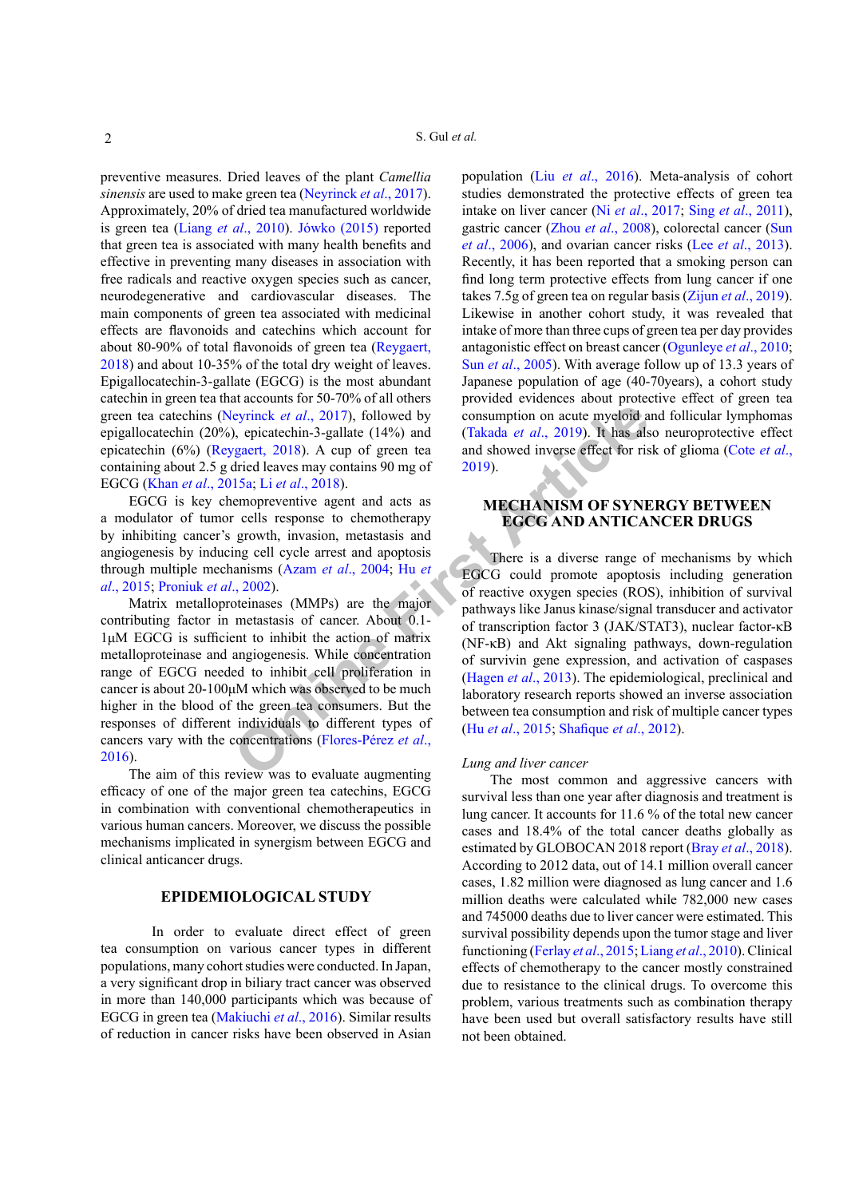preventive measures. Dried leaves of the plant *Camellia sinensis* are used to make green tea (Neyrinck *et al*., 2017). Approximately, 20% of dried tea manufactured worldwide is green tea (Liang *et al*[., 2010](#page-8-1)). Jówko (2015) reported that green tea is associated with many health benefits and effective in preventing many diseases in association with free radicals and reactive oxygen species such as cancer, neurodegenerative and cardiovascular diseases. The main components of green tea associated with medicinal effects are flavonoids and catechins which account for about 80-90% of total flavonoids of green tea (Reygaert, 2018) and about 10-35% of the total dry weight of leaves. Epigallocatechin-3-gallate (EGCG) is the most abundant catechin in green tea that accounts for 50-70% of all others green tea catechins (Neyrinck *et al*., 2017), followed by epigallocatechin (20%), epicatechin-3-gallate (14%) and epicatechin (6%) (Reygaert, 2018). A cup of green tea containing about 2.5 g dried leaves may contains 90 mg of EGCG (Khan *et al*[., 2015a](#page-8-0); Li *et al*., 2018).

EGCG is key chemopreventive agent and acts as a modulator of tumor cells response to chemotherapy by inhibiting cancer's growth, invasion, metastasis and angiogenesis by inducing cell cycle arrest and apoptosis through multiple mechanisms (Azam *et al*., 2004; Hu *et al*[., 2015](#page-8-3); Proniuk *et al*., 2002).

Matrix metalloproteinases (MMPs) are the major contributing factor in metastasis of cancer. About 0.1- 1μM EGCG is sufficient to inhibit the action of matrix metalloproteinase and angiogenesis. While concentration range of EGCG needed to inhibit cell proliferation in cancer is about 20-100μM which was observed to be much higher in the blood of the green tea consumers. But the responses of different individuals to different types of cancers vary with the concentrations (Flores-Pérez *et al*., 2016).

The aim of this review was to evaluate augmenting efficacy of one of the major green tea catechins, EGCG in combination with conventional chemotherapeutics in various human cancers. Moreover, we discuss the possible mechanisms implicated in synergism between EGCG and clinical anticancer drugs.

## **EPIDEMIOLOGICAL STUDY**

In order to evaluate direct effect of green tea consumption on various cancer types in different populations, many cohort studies were conducted. In Japan, a very significant drop in biliary tract cancer was observed in more than 140,000 participants which was because of EGCG in green tea (Makiuchi *et al*., 2016). Similar results of reduction in cancer risks have been observed in Asian

population (Liu *et al*[., 2016\)](#page-8-4). Meta-analysis of cohort studies demonstrated the protective effects of green tea intake on liver cancer (Ni *et al*., 2017; Sing *et al*., 2011), gastric cancer (Zhou *et al*., 2008), colorectal cancer (Sun *et al*., 2006), and ovarian cancer risks (Lee *et al*[., 2013](#page-8-5)). Recently, it has been reported that a smoking person can find long term protective effects from lung cancer if one takes 7.5g of green tea on regular basis (Zijun *et al*., 2019). Likewise in another cohort study, it was revealed that intake of more than three cups of green tea per day provides antagonistic effect on breast cancer (Ogunleye *et al*., 2010; Sun *et al*., 2005). With average follow up of 13.3 years of Japanese population of age (40-70years), a cohort study provided evidences about protective effect of green tea consumption on acute myeloid and follicular lymphomas (Takada *et al*., 2019). It has also neuroprotective effect and showed inverse effect for risk of glioma (Cote *et al*., 2019).

## **MECHANISM OF SYNERGY BETWEEN EGCG AND ANTICANCER DRUGS**

**COLUTE:**<b[r](#page-8-3)> **COLUTE:**<br> **COLUTE:**<br> **COLUTE:**<br> **COLUTE:**<br> **COLUTE:**<br> **COLUTE:**<br> **COLUTE:**<br> **COLUTE:**<br> **COLUTE:**<br> **COLUTE:**<br> **COLUTE:**<br> **COLUTE:**<br> **COLUTE:**<br> **COLUTE:**<br> **COLUTE:**<br> **COLUTE:**<br> **COLUTE:**<br> **COLUTE:**<br> **COLUTE:**<br> **C** There is a diverse range of mechanisms by which EGCG could promote apoptosis including generation of reactive oxygen species (ROS), inhibition of survival pathways like Janus kinase/signal transducer and activator of transcription factor 3 (JAK/STAT3), nuclear factor-κB (NF-κB) and Akt signaling pathways, down-regulation of survivin gene expression, and activation of caspases (Hagen *et al*., 2013). The epidemiological, preclinical and laboratory research reports showed an inverse association between tea consumption and risk of multiple cancer types (Hu *et al*., 2015; Shafique *et al*., 2012).

#### *Lung and liver cancer*

The most common and aggressive cancers with survival less than one year after diagnosis and treatment is lung cancer. It accounts for 11.6 % of the total new cancer cases and 18.4% of the total cancer deaths globally as estimated by GLOBOCAN 2018 report (Bray *et al*[., 2018](#page-7-1)). According to 2012 data, out of 14.1 million overall cancer cases, 1.82 million were diagnosed as lung cancer and 1.6 million deaths were calculated while 782,000 new cases and 745000 deaths due to liver cancer were estimated. This survival possibility depends upon the tumor stage and liver functioning ([Ferlay](#page-7-0) *et al*., 2015; Liang *et al*[., 2010](#page-8-1)). Clinical effects of chemotherapy to the cancer mostly constrained due to resistance to the clinical drugs. To overcome this problem, various treatments such as combination therapy have been used but overall satisfactory results have still not been obtained.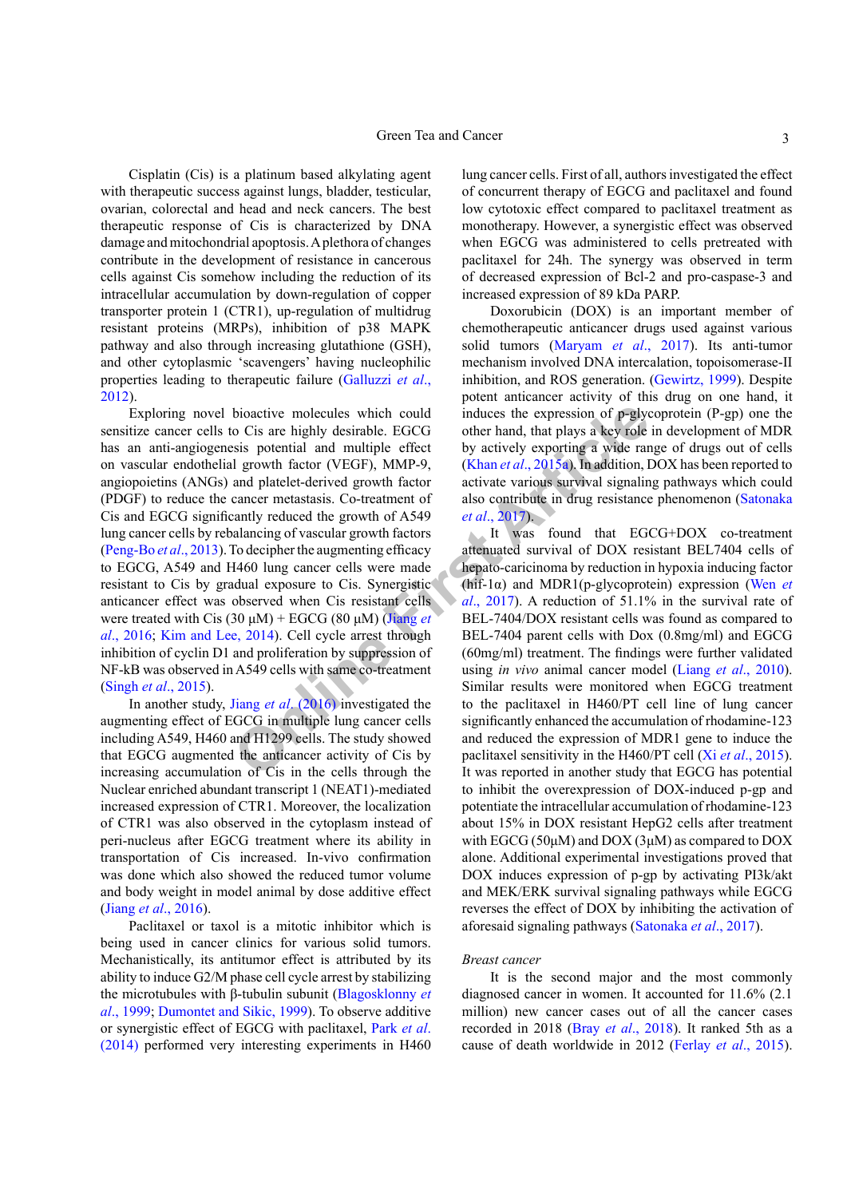Cisplatin (Cis) is a platinum based alkylating agent with therapeutic success against lungs, bladder, testicular, ovarian, colorectal and head and neck cancers. The best therapeutic response of Cis is characterized by DNA damage and mitochondrial apoptosis. A plethora of changes contribute in the development of resistance in cancerous cells against Cis somehow including the reduction of its intracellular accumulation by down-regulation of copper transporter protein 1 (CTR1), up-regulation of multidrug resistant proteins (MRPs), inhibition of p38 MAPK pathway and also through increasing glutathione (GSH), and other cytoplasmic 'scavengers' having nucleophilic properties leading to therapeutic failure [\(Galluzzi](#page-7-5) *et al*., [2012\)](#page-7-5).

bioac[ti](#page-8-8)ve molecules which could<br>
induces the expression of p-gly<br>
o Cis are highly desirable. EGCG<br>
other hand, that plays a key role<br>
sis potential and multiple effect<br>
by actively exporting a wide rar<br>
and platelet-deri Exploring novel bioactive molecules which could sensitize cancer cells to Cis are highly desirable. EGCG has an anti-angiogenesis potential and multiple effect on vascular endothelial growth factor (VEGF), MMP-9, angiopoietins (ANGs) and platelet-derived growth factor (PDGF) to reduce the cancer metastasis. Co-treatment of Cis and EGCG significantly reduced the growth of A549 lung cancer cells by rebalancing of vascular growth factors (Peng-Bo *et al*., 2013). To decipher the augmenting efficacy to EGCG, A549 and H460 lung cancer cells were made resistant to Cis by gradual exposure to Cis. Synergistic anticancer effect was observed when Cis resistant cells were treated with Cis (30 μM) + EGCG (80 μM) (Jiang *et al*[., 2016;](#page-8-6) [Kim and Lee, 2014\)](#page-8-7). Cell cycle arrest through inhibition of cyclin D1 and proliferation by suppression of NF-kB was observed in A549 cells with same co-treatment (Singh *et al*., 2015).

In another study, Jiang *et al*. (2016) investigated the augmenting effect of EGCG in multiple lung cancer cells including A549, H460 and H1299 cells. The study showed that EGCG augmented the anticancer activity of Cis by increasing accumulation of Cis in the cells through the Nuclear enriched abundant transcript 1 (NEAT1)-mediated increased expression of CTR1. Moreover, the localization of CTR1 was also observed in the cytoplasm instead of peri-nucleus after EGCG treatment where its ability in transportation of Cis increased. In-vivo confirmation was done which also showed the reduced tumor volume and body weight in model animal by dose additive effect (Jiang *et al*[., 2016\)](#page-8-6).

Paclitaxel or taxol is a mitotic inhibitor which is being used in cancer clinics for various solid tumors. Mechanistically, its antitumor effect is attributed by its ability to induce G2/M phase cell cycle arrest by stabilizing the microtubules with β-tubulin subunit ([Blagosklonny](#page-7-6) *et al*[., 1999;](#page-7-6) [Dumontet and Sikic, 1999](#page-7-7)). To observe additive or synergistic effect of EGCG with paclitaxel, Park *et al*. (2014) performed very interesting experiments in H460

lung cancer cells. First of all, authors investigated the effect of concurrent therapy of EGCG and paclitaxel and found low cytotoxic effect compared to paclitaxel treatment as monotherapy. However, a synergistic effect was observed when EGCG was administered to cells pretreated with paclitaxel for 24h. The synergy was observed in term of decreased expression of Bcl-2 and pro-caspase-3 and increased expression of 89 kDa PARP.

Doxorubicin (DOX) is an important member of chemotherapeutic anticancer drugs used against various solid tumors (Maryam *et al*., 2017). Its anti-tumor mechanism involved DNA intercalation, topoisomerase-II inhibition, and ROS generation. [\(Gewirtz, 1999\)](#page-7-8). Despite potent anticancer activity of this drug on one hand, it induces the expression of p-glycoprotein (P-gp) one the other hand, that plays a key role in development of MDR by actively exporting a wide range of drugs out of cells (Khan *et al*., 2015a). In addition, DOX has been reported to activate various survival signaling pathways which could also contribute in drug resistance phenomenon (Satonaka *et al*., 2017).

It was found that EGCG+DOX co-treatment attenuated survival of DOX resistant BEL7404 cells of hepato-caricinoma by reduction in hypoxia inducing factor (hif-1α) and MDR1(p-glycoprotein) expression (Wen *et al*., 2017). A reduction of 51.1% in the survival rate of BEL-7404/DOX resistant cells was found as compared to BEL-7404 parent cells with Dox (0.8mg/ml) and EGCG (60mg/ml) treatment. The findings were further validated using *in vivo* animal cancer model (Liang *et al*[., 2010](#page-8-1)). Similar results were monitored when EGCG treatment to the paclitaxel in H460/PT cell line of lung cancer significantly enhanced the accumulation of rhodamine-123 and reduced the expression of MDR1 gene to induce the paclitaxel sensitivity in the H460/PT cell (Xi *et al*., 2015). It was reported in another study that EGCG has potential to inhibit the overexpression of DOX-induced p-gp and potentiate the intracellular accumulation of rhodamine-123 about 15% in DOX resistant HepG2 cells after treatment with EGCG (50μM) and DOX (3μM) as compared to DOX alone. Additional experimental investigations proved that DOX induces expression of p-gp by activating PI3k/akt and MEK/ERK survival signaling pathways while EGCG reverses the effect of DOX by inhibiting the activation of aforesaid signaling pathways (Satonaka *et al*., 2017).

#### *Breast cancer*

It is the second major and the most commonly diagnosed cancer in women. It accounted for 11.6% (2.1 million) new cancer cases out of all the cancer cases recorded in 2018 (Bray *et al*[., 2018](#page-7-1)). It ranked 5th as a cause of death worldwide in 2012 (Ferlay *et al*[., 2015](#page-7-0)).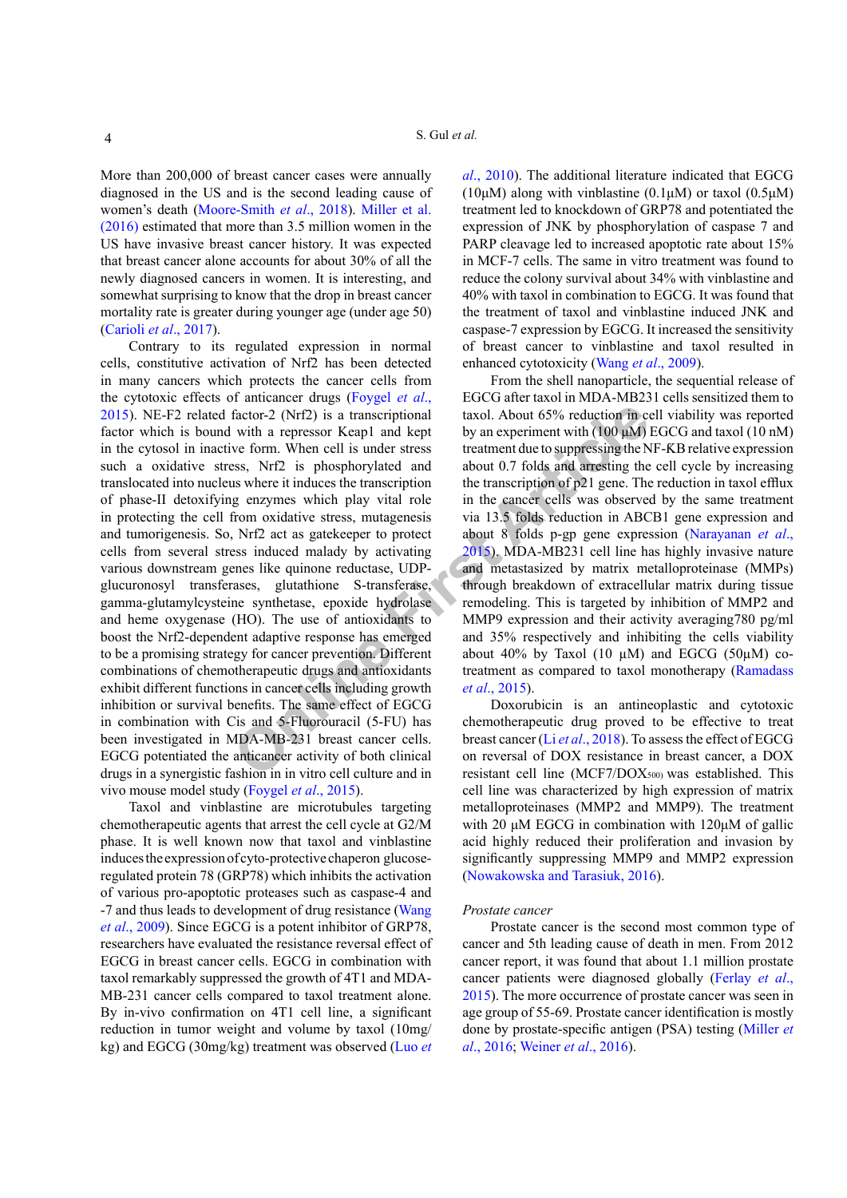More than 200,000 of breast cancer cases were annually diagnosed in the US and is the second leading cause of women's death (Moore-Smith *et al*., 2018). Miller et al. (2016) estimated that more than 3.5 million women in the US have invasive breast cancer history. It was expected that breast cancer alone accounts for about 30% of all the newly diagnosed cancers in women. It is interesting, and somewhat surprising to know that the drop in breast cancer mortality rate is greater during younger age (under age 50) [\(Carioli](#page-7-9) *et al*., 2017).

Factor-2 (NrI2) is a transcriptional<br>
with a repressor Keap1 and kept<br>
by an experiment with (100  $\mu$ M)<br>
ve form. When cell is under stress<br>
stripct in the transcription debtual about 0.7 folds and are<br>
in the transcript Contrary to its regulated expression in normal cells, constitutive activation of Nrf2 has been detected in many cancers which protects the cancer cells from the cytotoxic effects of anticancer drugs [\(Foygel](#page-7-2) *et al*., [2015\)](#page-7-2). NE-F2 related factor-2 (Nrf2) is a transcriptional factor which is bound with a repressor Keap1 and kept in the cytosol in inactive form. When cell is under stress such a oxidative stress, Nrf2 is phosphorylated and translocated into nucleus where it induces the transcription of phase-II detoxifying enzymes which play vital role in protecting the cell from oxidative stress, mutagenesis and tumorigenesis. So, Nrf2 act as gatekeeper to protect cells from several stress induced malady by activating various downstream genes like quinone reductase, UDPglucuronosyl transferases, glutathione S-transferase, gamma-glutamylcysteine synthetase, epoxide hydrolase and heme oxygenase (HO). The use of antioxidants to boost the Nrf2-dependent adaptive response has emerged to be a promising strategy for cancer prevention. Different combinations of chemotherapeutic drugs and antioxidants exhibit different functions in cancer cells including growth inhibition or survival benefits. The same effect of EGCG in combination with Cis and 5-Fluorouracil (5-FU) has been investigated in MDA-MB-231 breast cancer cells. EGCG potentiated the anticancer activity of both clinical drugs in a synergistic fashion in in vitro cell culture and in vivo mouse model study ([Foygel](#page-7-2) *et al*., 2015).

Taxol and vinblastine are microtubules targeting chemotherapeutic agents that arrest the cell cycle at G2/M phase. It is well known now that taxol and vinblastine induces the expression of cyto-protective chaperon glucoseregulated protein 78 (GRP78) which inhibits the activation of various pro-apoptotic proteases such as caspase-4 and -7 and thus leads to development of drug resistance (Wang *et al*., 2009). Since EGCG is a potent inhibitor of GRP78, researchers have evaluated the resistance reversal effect of EGCG in breast cancer cells. EGCG in combination with taxol remarkably suppressed the growth of 4T1 and MDA-MB-231 cancer cells compared to taxol treatment alone. By in-vivo confirmation on 4T1 cell line, a significant reduction in tumor weight and volume by taxol (10mg/ kg) and EGCG (30mg/kg) treatment was observed ([Luo](#page-8-9) *et* 

*al*[., 2010](#page-8-9)). The additional literature indicated that EGCG (10μM) along with vinblastine (0.1μM) or taxol (0.5μM) treatment led to knockdown of GRP78 and potentiated the expression of JNK by phosphorylation of caspase 7 and PARP cleavage led to increased apoptotic rate about 15% in MCF-7 cells. The same in vitro treatment was found to reduce the colony survival about 34% with vinblastine and 40% with taxol in combination to EGCG. It was found that the treatment of taxol and vinblastine induced JNK and caspase-7 expression by EGCG. It increased the sensitivity of breast cancer to vinblastine and taxol resulted in enhanced cytotoxicity (Wang *et al*., 2009).

From the shell nanoparticle, the sequential release of EGCG after taxol in MDA-MB231 cells sensitized them to taxol. About 65% reduction in cell viability was reported by an experiment with  $(100 \mu M)$  EGCG and taxol  $(10 \text{ nM})$ treatment due to suppressing the NF-ƘB relative expression about 0.7 folds and arresting the cell cycle by increasing the transcription of p21 gene. The reduction in taxol efflux in the cancer cells was observed by the same treatment via 13.5 folds reduction in ABCB1 gene expression and about 8 folds p-gp gene expression (Narayanan *et al*., 2015). MDA-MB231 cell line has highly invasive nature and metastasized by matrix metalloproteinase (MMPs) through breakdown of extracellular matrix during tissue remodeling. This is targeted by inhibition of MMP2 and MMP9 expression and their activity averaging780 pg/ml and 35% respectively and inhibiting the cells viability about 40% by Taxol (10  $\mu$ M) and EGCG (50 $\mu$ M) cotreatment as compared to taxol monotherapy (Ramadass *et al*., 2015).

Doxorubicin is an antineoplastic and cytotoxic chemotherapeutic drug proved to be effective to treat breast cancer (Li *et al*., 2018). To assess the effect of EGCG on reversal of DOX resistance in breast cancer, a DOX resistant cell line (MCF7/DOX500) was established. This cell line was characterized by high expression of matrix metalloproteinases (MMP2 and MMP9). The treatment with 20 μM EGCG in combination with 120μM of gallic acid highly reduced their proliferation and invasion by significantly suppressing MMP9 and MMP2 expression (Nowakowska and Tarasiuk, 2016).

#### *Prostate cancer*

Prostate cancer is the second most common type of cancer and 5th leading cause of death in men. From 2012 cancer report, it was found that about 1.1 million prostate cancer patients were diagnosed globally ([Ferlay](#page-7-0) *et al*., [2015](#page-7-0)). The more occurrence of prostate cancer was seen in age group of 55-69. Prostate cancer identification is mostly done by prostate-specific antigen (PSA) testing (Miller *et al*., 2016; Weiner *et al*., 2016).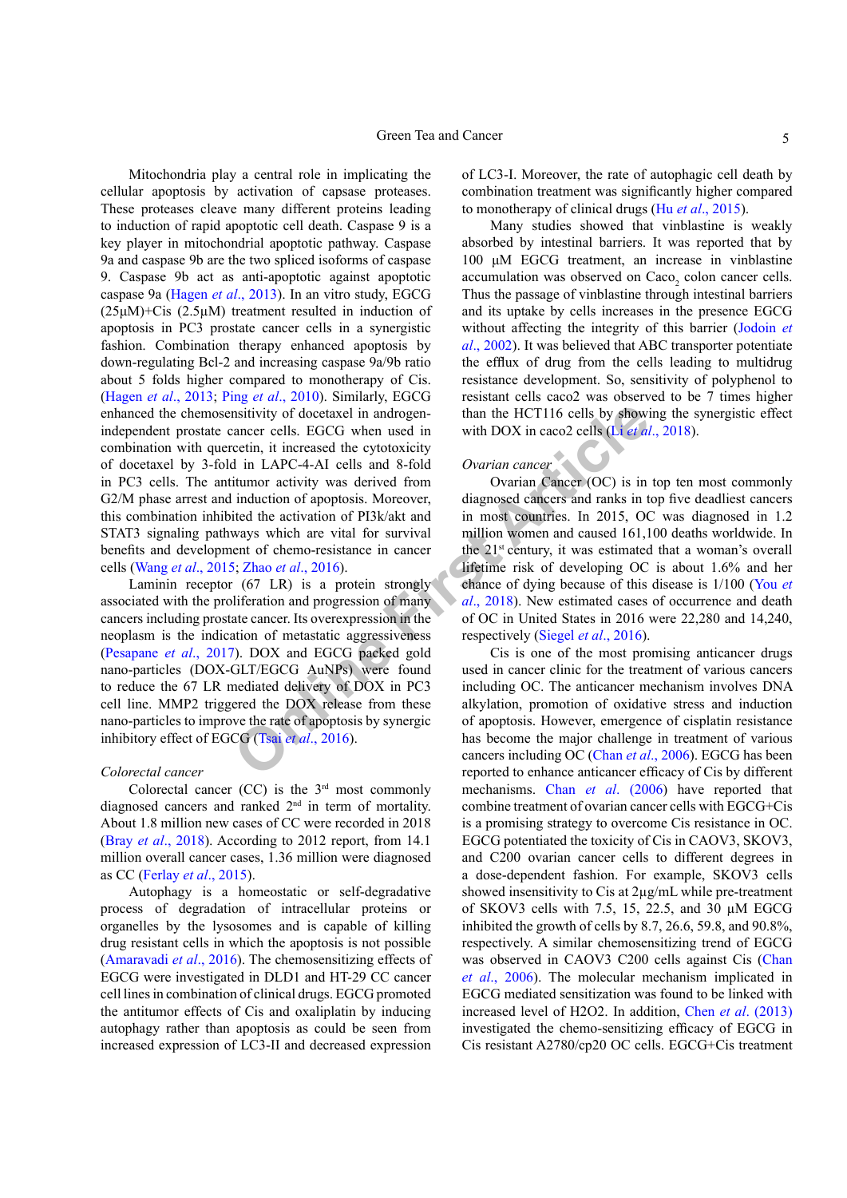**EXECT THEON CONTROG CONTEXT CONTROG CONTROG CONTROG CONTROG CONTROG CONTROG CONTROG CONTROG CONTROG CONTROG CONTROG CONTROG CONTROG CONTROG CONTROG CONTROG CONTROG CONTROG CONTROG CONTROG CONTROG CONTROG CONTROG CONTROG** Mitochondria play a central role in implicating the cellular apoptosis by activation of capsase proteases. These proteases cleave many different proteins leading to induction of rapid apoptotic cell death. Caspase 9 is a key player in mitochondrial apoptotic pathway. Caspase 9a and caspase 9b are the two spliced isoforms of caspase 9. Caspase 9b act as anti-apoptotic against apoptotic caspase 9a ([Hagen](#page-7-4) *et al*., 2013). In an vitro study, EGCG (25μM)+Cis (2.5µM) treatment resulted in induction of apoptosis in PC3 prostate cancer cells in a synergistic fashion. Combination therapy enhanced apoptosis by down-regulating Bcl-2 and increasing caspase 9a/9b ratio about 5 folds higher compared to monotherapy of Cis. [\(Hagen](#page-7-4) *et al*., 2013; Ping *et al*., 2010). Similarly, EGCG enhanced the chemosensitivity of docetaxel in androgenindependent prostate cancer cells. EGCG when used in combination with quercetin, it increased the cytotoxicity of docetaxel by 3-fold in LAPC-4-AI cells and 8-fold in PC3 cells. The antitumor activity was derived from G2/M phase arrest and induction of apoptosis. Moreover, this combination inhibited the activation of PI3k/akt and STAT3 signaling pathways which are vital for survival benefits and development of chemo-resistance in cancer cells (Wang *et al*., 2015; Zhao *et al*., 2016).

Laminin receptor (67 LR) is a protein strongly associated with the proliferation and progression of many cancers including prostate cancer. Its overexpression in the neoplasm is the indication of metastatic aggressiveness (Pesapane *et al*., 2017). DOX and EGCG packed gold nano-particles (DOX-GLT/EGCG AuNPs) were found to reduce the 67 LR mediated delivery of DOX in PC3 cell line. MMP2 triggered the DOX release from these nano-particles to improve the rate of apoptosis by synergic inhibitory effect of EGCG (Tsai *et al*., 2016).

## *Colorectal cancer*

Colorectal cancer  $(CC)$  is the  $3<sup>rd</sup>$  most commonly diagnosed cancers and ranked 2nd in term of mortality. About 1.8 million new cases of CC were recorded in 2018 (Bray *et al*[., 2018\)](#page-7-1). According to 2012 report, from 14.1 million overall cancer cases, 1.36 million were diagnosed as CC ([Ferlay](#page-7-0) *et al*., 2015).

Autophagy is a homeostatic or self-degradative process of degradation of intracellular proteins or organelles by the lysosomes and is capable of killing drug resistant cells in which the apoptosis is not possible [\(Amaravadi](#page-6-2) *et al*., 2016). The chemosensitizing effects of EGCG were investigated in DLD1 and HT-29 CC cancer cell lines in combination of clinical drugs. EGCG promoted the antitumor effects of Cis and oxaliplatin by inducing autophagy rather than apoptosis as could be seen from increased expression of LC3-II and decreased expression of LC3-I. Moreover, the rate of autophagic cell death by combination treatment was significantly higher compared to monotherapy of clinical drugs (Hu *et al*[., 2015\)](#page-8-3).

Many studies showed that vinblastine is weakly absorbed by intestinal barriers. It was reported that by 100 μM EGCG treatment, an increase in vinblastine accumulation was observed on  $Caco<sub>2</sub>$  colon cancer cells. Thus the passage of vinblastine through intestinal barriers and its uptake by cells increases in the presence EGCG without affecting the integrity of this barrier (Jodoin *et al*., 2002). It was believed that ABC transporter potentiate the efflux of drug from the cells leading to multidrug resistance development. So, sensitivity of polyphenol to resistant cells caco2 was observed to be 7 times higher than the HCT116 cells by showing the synergistic effect with DOX in caco2 cells (Li *et al*., 2018).

## *Ovarian cancer*

Ovarian Cancer (OC) is in top ten most commonly diagnosed cancers and ranks in top five deadliest cancers in most countries. In 2015, OC was diagnosed in 1.2 million women and caused 161,100 deaths worldwide. In the 21st century, it was estimated that a woman's overall lifetime risk of developing OC is about 1.6% and her chance of dying because of this disease is 1/100 (You *et al*., 2018). New estimated cases of occurrence and death of OC in United States in 2016 were 22,280 and 14,240, respectively (Siegel *et al*., 2016).

Cis is one of the most promising anticancer drugs used in cancer clinic for the treatment of various cancers including OC. The anticancer mechanism involves DNA alkylation, promotion of oxidative stress and induction of apoptosis. However, emergence of cisplatin resistance has become the major challenge in treatment of various cancers including OC (Chan *et al*., 2006). EGCG has been reported to enhance anticancer efficacy of Cis by different mechanisms. Chan *et al*[. \(2006](#page-7-10)) have reported that combine treatment of ovarian cancer cells with EGCG+Cis is a promising strategy to overcome Cis resistance in OC. EGCG potentiated the toxicity of Cis in CAOV3, SKOV3, and C200 ovarian cancer cells to different degrees in a dose-dependent fashion. For example, SKOV3 cells showed insensitivity to Cis at 2µg/mL while pre-treatment of SKOV3 cells with 7.5, 15, 22.5, and 30 µM EGCG inhibited the growth of cells by 8.7, 26.6, 59.8, and 90.8%, respectively. A similar chemosensitizing trend of EGCG was observed in CAOV3 C200 cells against Cis [\(Chan](#page-7-10) *et al*[., 2006\)](#page-7-10). The molecular mechanism implicated in EGCG mediated sensitization was found to be linked with increased level of H2O2. In addition, Chen *et al*[. \(2013\)](#page-7-11) investigated the chemo-sensitizing efficacy of EGCG in Cis resistant A2780/cp20 OC cells. EGCG+Cis treatment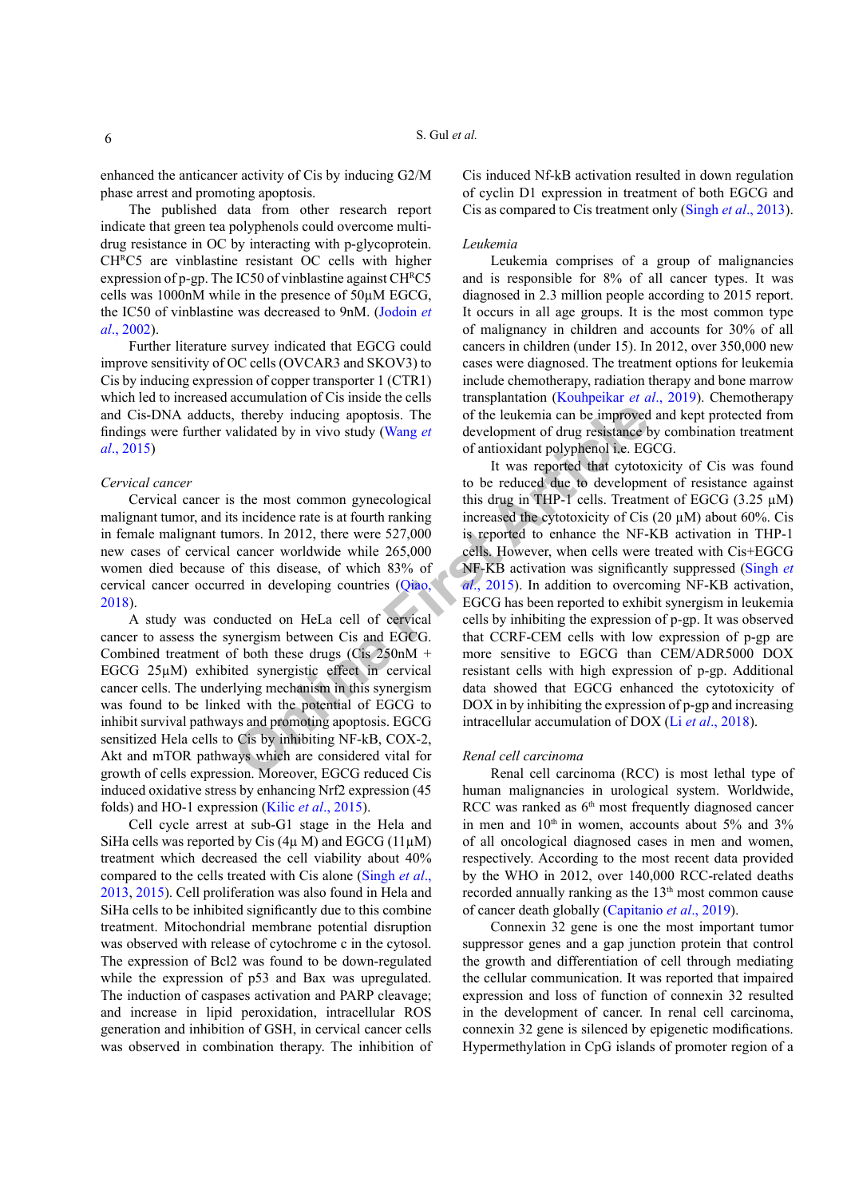enhanced the anticancer activity of Cis by inducing G2/M phase arrest and promoting apoptosis.

The published data from other research report indicate that green tea polyphenols could overcome multidrug resistance in OC by interacting with p-glycoprotein. CH<sup>R</sup>C5 are vinblastine resistant OC cells with higher expression of p-gp. The IC50 of vinblastine against CHRC5 cells was 1000nM while in the presence of 50µM EGCG, the IC50 of vinblastine was decreased to 9nM. (Jodoin *et al*., 2002).

Further literature survey indicated that EGCG could improve sensitivity of OC cells (OVCAR3 and SKOV3) to Cis by inducing expression of copper transporter 1 (CTR1) which led to increased accumulation of Cis inside the cells and Cis-DNA adducts, thereby inducing apoptosis. The findings were further validated by in vivo study (Wang *et al*., 2015)

## *Cervical cancer*

Cervical cancer is the most common gynecological malignant tumor, and its incidence rate is at fourth ranking in female malignant tumors. In 2012, there were 527,000 new cases of cervical cancer worldwide while 265,000 women died because of this disease, of which 83% of cervical cancer occurred in developing countries (Qiao, 2018).

A study was conducted on HeLa cell of cervical cancer to assess the synergism between Cis and EGCG. Combined treatment of both these drugs (Cis 250nM + EGCG 25µM) exhibited synergistic effect in cervical cancer cells. The underlying mechanism in this synergism was found to be linked with the potential of EGCG to inhibit survival pathways and promoting apoptosis. EGCG sensitized Hela cells to Cis by inhibiting NF-kB, COX-2, Akt and mTOR pathways which are considered vital for growth of cells expression. Moreover, EGCG reduced Cis induced oxidative stress by enhancing Nrf2 expression (45 folds) and HO-1 expression (Kilic *et al*[., 2015\)](#page-8-10).

Cell cycle arrest at sub-G1 stage in the Hela and SiHa cells was reported by Cis  $(4\mu M)$  and EGCG  $(11\mu M)$ treatment which decreased the cell viability about 40% compared to the cells treated with Cis alone (Singh *et al*., 2013, 2015). Cell proliferation was also found in Hela and SiHa cells to be inhibited significantly due to this combine treatment. Mitochondrial membrane potential disruption was observed with release of cytochrome c in the cytosol. The expression of Bcl2 was found to be down-regulated while the expression of p53 and Bax was upregulated. The induction of caspases activation and PARP cleavage; and increase in lipid peroxidation, intracellular ROS generation and inhibition of GSH, in cervical cancer cells was observed in combination therapy. The inhibition of

Cis induced Nf-kB activation resulted in down regulation of cyclin D1 expression in treatment of both EGCG and Cis as compared to Cis treatment only (Singh *et al*., 2013).

#### *Leukemia*

Leukemia comprises of a group of malignancies and is responsible for 8% of all cancer types. It was diagnosed in 2.3 million people according to 2015 report. It occurs in all age groups. It is the most common type of malignancy in children and accounts for 30% of all cancers in children (under 15). In 2012, over 350,000 new cases were diagnosed. The treatment options for leukemia include chemotherapy, radiation therapy and bone marrow transplantation ([Kouhpeikar](#page-8-11) *et al*., 2019). Chemotherapy of the leukemia can be improved and kept protected from development of drug resistance by combination treatment of antioxidant polyphenol i.e. EGCG.

thereby inducing apoptosis. The<br>
of the leukemia can be improved<br>
alidated by in vivo study (Wang et<br>
of antioxidant polyphenol i.e. EG<br>
It was reported that cytoto-<br>
to be reduced due to development<br>
to be reduced due to It was reported that cytotoxicity of Cis was found to be reduced due to development of resistance against this drug in THP-1 cells. Treatment of EGCG  $(3.25 \mu M)$ increased the cytotoxicity of Cis (20 µM) about 60%. Cis is reported to enhance the NF-KB activation in THP-1 cells. However, when cells were treated with Cis+EGCG NF-KB activation was significantly suppressed (Singh *et al*., 2015). In addition to overcoming NF-KB activation, EGCG has been reported to exhibit synergism in leukemia cells by inhibiting the expression of p-gp. It was observed that CCRF-CEM cells with low expression of p-gp are more sensitive to EGCG than CEM/ADR5000 DOX resistant cells with high expression of p-gp. Additional data showed that EGCG enhanced the cytotoxicity of DOX in by inhibiting the expression of p-gp and increasing intracellular accumulation of DOX (Li *et al*[., 2018](#page-8-2)).

## *Renal cell carcinoma*

Renal cell carcinoma (RCC) is most lethal type of human malignancies in urological system. Worldwide, RCC was ranked as  $6<sup>th</sup>$  most frequently diagnosed cancer in men and  $10<sup>th</sup>$  in women, accounts about 5% and 3% of all oncological diagnosed cases in men and women, respectively. According to the most recent data provided by the WHO in 2012, over 140,000 RCC-related deaths recorded annually ranking as the  $13<sup>th</sup>$  most common cause of cancer death globally [\(Capitanio](#page-7-12) *et al*., 2019).

Connexin 32 gene is one the most important tumor suppressor genes and a gap junction protein that control the growth and differentiation of cell through mediating the cellular communication. It was reported that impaired expression and loss of function of connexin 32 resulted in the development of cancer. In renal cell carcinoma, connexin 32 gene is silenced by epigenetic modifications. Hypermethylation in CpG islands of promoter region of a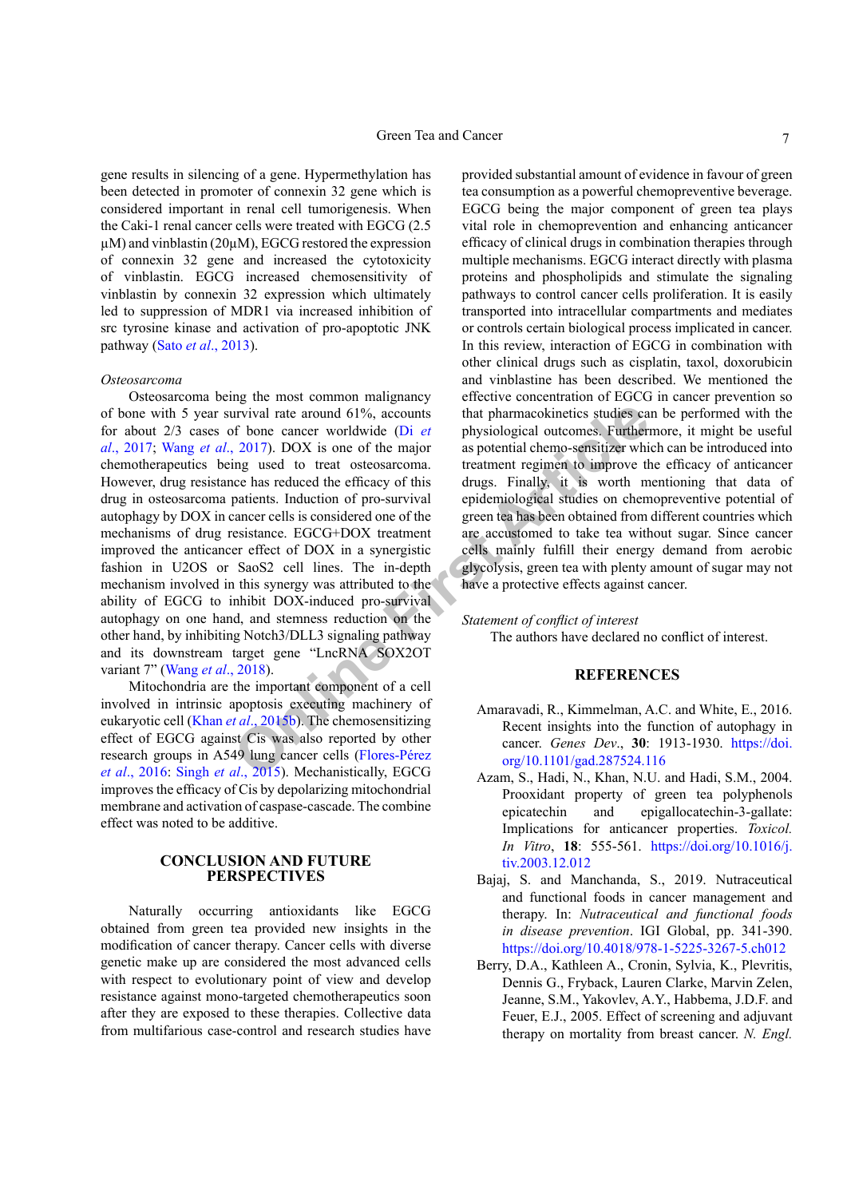gene results in silencing of a gene. Hypermethylation has been detected in promoter of connexin 32 gene which is considered important in renal cell tumorigenesis. When the Caki-1 renal cancer cells were treated with EGCG (2.5  $\mu$ M) and vinblastin (20 $\mu$ M), EGCG restored the expression of connexin 32 gene and increased the cytotoxicity of vinblastin. EGCG increased chemosensitivity of vinblastin by connexin 32 expression which ultimately led to suppression of MDR1 via increased inhibition of src tyrosine kinase and activation of pro-apoptotic JNK pathway (Sato *et al*., 2013).

#### *Osteosarcoma*

I[n](#page-8-0)terview and the stream of 1%, accounts<br>
Interperation of the major<br>
Interview and the conservant are the major<br>
Interview and the major<br>
Interview and the major<br>
Interview and the major<br>
Interview and the major and the m Osteosarcoma being the most common malignancy of bone with 5 year survival rate around 61%, accounts for about 2/3 cases of bone cancer worldwide (Di *et al*., 2017; Wang *et al*., 2017). DOX is one of the major chemotherapeutics being used to treat osteosarcoma. However, drug resistance has reduced the efficacy of this drug in osteosarcoma patients. Induction of pro-survival autophagy by DOX in cancer cells is considered one of the mechanisms of drug resistance. EGCG+DOX treatment improved the anticancer effect of DOX in a synergistic fashion in U2OS or SaoS2 cell lines. The in-depth mechanism involved in this synergy was attributed to the ability of EGCG to inhibit DOX-induced pro-survival autophagy on one hand, and stemness reduction on the other hand, by inhibiting Notch3/DLL3 signaling pathway and its downstream target gene "LncRNA SOX2OT variant 7" (Wang *et al*., 2018).

Mitochondria are the important component of a cell involved in intrinsic apoptosis executing machinery of eukaryotic cell (Khan *et al*., 2015b). The chemosensitizing effect of EGCG against Cis was also reported by other research groups in A549 lung cancer cells (Flores-Pérez *et al*., 2016: Singh *et al*., 2015). Mechanistically, EGCG improves the efficacy of Cis by depolarizing mitochondrial membrane and activation of caspase-cascade. The combine effect was noted to be additive.

## **CONCLUSION AND FUTURE PERSPECTIVES**

Naturally occurring antioxidants like EGCG obtained from green tea provided new insights in the modification of cancer therapy. Cancer cells with diverse genetic make up are considered the most advanced cells with respect to evolutionary point of view and develop resistance against mono-targeted chemotherapeutics soon after they are exposed to these therapies. Collective data from multifarious case-control and research studies have

provided substantial amount of evidence in favour of green tea consumption as a powerful chemopreventive beverage. EGCG being the major component of green tea plays vital role in chemoprevention and enhancing anticancer efficacy of clinical drugs in combination therapies through multiple mechanisms. EGCG interact directly with plasma proteins and phospholipids and stimulate the signaling pathways to control cancer cells proliferation. It is easily transported into intracellular compartments and mediates or controls certain biological process implicated in cancer. In this review, interaction of EGCG in combination with other clinical drugs such as cisplatin, taxol, doxorubicin and vinblastine has been described. We mentioned the effective concentration of EGCG in cancer prevention so that pharmacokinetics studies can be performed with the physiological outcomes. Furthermore, it might be useful as potential chemo-sensitizer which can be introduced into treatment regimen to improve the efficacy of anticancer drugs. Finally, it is worth mentioning that data of epidemiological studies on chemopreventive potential of green tea has been obtained from different countries which are accustomed to take tea without sugar. Since cancer cells mainly fulfill their energy demand from aerobic glycolysis, green tea with plenty amount of sugar may not have a protective effects against cancer.

## *Statement of conflict of interest*

The authors have declared no conflict of interest.

## **REFERENCES**

- <span id="page-6-2"></span>Amaravadi, R., Kimmelman, A.C. and White, E., 2016. Recent insights into the function of autophagy in cancer. *Genes Dev*., **30**: 1913-1930. [https://doi.](https://doi.org/10.1101/gad.287524.116) org/10.1101/gad.287524.116
- <span id="page-6-1"></span>Azam, S., Hadi, N., Khan, N.U. and Hadi, S.M., 2004. Prooxidant property of green tea polyphenols epicatechin and epigallocatechin-3-gallate: Implications for anticancer properties. *Toxicol. In Vitro*, **18**: 555-561. [https://doi.org/10.1016/j.](https://doi.org/10.1016/j.tiv.2003.12.012) [tiv.2003.12.012](https://doi.org/10.1016/j.tiv.2003.12.012)
- <span id="page-6-0"></span>Bajaj, S. and Manchanda, S., 2019. Nutraceutical and functional foods in cancer management and therapy. In: *Nutraceutical and functional foods in disease prevention*. IGI Global, pp. 341-390. <https://doi.org/10.4018/978-1-5225-3267-5.ch012>
- Berry, D.A., Kathleen A., Cronin, Sylvia, K., Plevritis, Dennis G., Fryback, Lauren Clarke, Marvin Zelen, Jeanne, S.M., Yakovlev, A.Y., Habbema, J.D.F. and Feuer, E.J., 2005. Effect of screening and adjuvant therapy on mortality from breast cancer. *N. Engl.*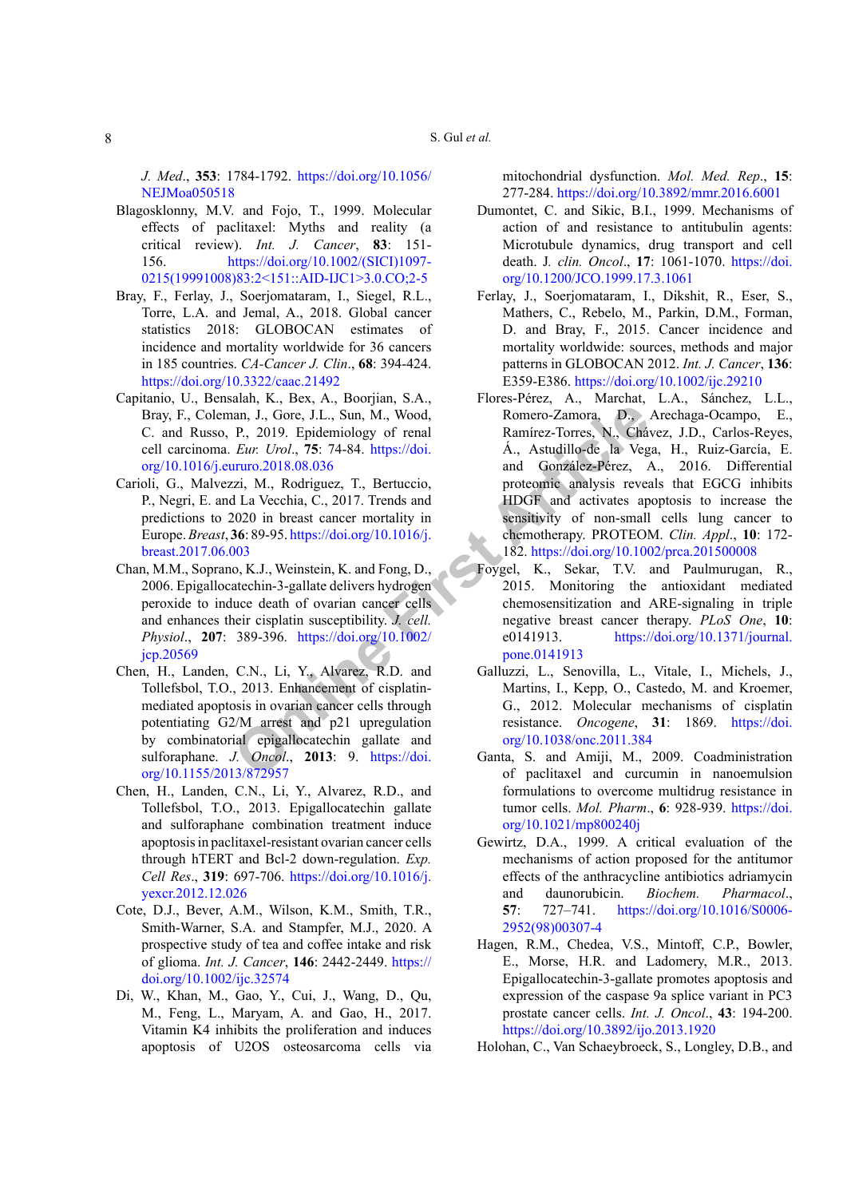*J. Med*., **353**: 1784-1792. [https://doi.org/10.1056/](https://doi.org/10.1056/NEJMoa050518) [NEJMoa050518](https://doi.org/10.1056/NEJMoa050518)

- <span id="page-7-6"></span>Blagosklonny, M.V. and Fojo, T., 1999. Molecular effects of paclitaxel: Myths and reality (a critical review). *Int. J. Cancer*, **83**: 151- 156. [https://doi.org/10.1002/\(SICI\)1097-](https://doi.org/10.1002/(SICI)1097-0215(19991008)83:2%3C151::AID-IJC1%3E3.0.CO;2-5) [0215\(19991008\)83:2<151::AID-IJC1>3.0.CO;2-5](https://doi.org/10.1002/(SICI)1097-0215(19991008)83:2%3C151::AID-IJC1%3E3.0.CO;2-5)
- <span id="page-7-1"></span>Bray, F., Ferlay, J., Soerjomataram, I., Siegel, R.L., Torre, L.A. and Jemal, A., 2018. Global cancer statistics 2018: GLOBOCAN estimates of incidence and mortality worldwide for 36 cancers in 185 countries. *CA-Cancer J. Clin*., **68**: 394-424. <https://doi.org/10.3322/caac.21492>
- <span id="page-7-12"></span>Capitanio, U., Bensalah, K., Bex, A., Boorjian, S.A., Bray, F., Coleman, J., Gore, J.L., Sun, M., Wood, C. and Russo, P., 2019. Epidemiology of renal cell carcinoma. *Eur. Urol*., **75**: 74-84. https://doi. [org/10.1016/j.eururo.2018.08.036](https://doi.org/10.1016/j.eururo.2018.08.036)
- <span id="page-7-9"></span>Carioli, G., Malvezzi, M., Rodriguez, T., Bertuccio, P., Negri, E. and La Vecchia, C., 2017. Trends and predictions to 2020 in breast cancer mortality in Europe.*Breast*, **36**: 89-95. https://doi.org/10.1016/j. [breast.2017.06.003](https://doi.org/10.1016/j.breast.2017.06.003)
- <span id="page-7-10"></span>Chan, M.M., Soprano, K.J., Weinstein, K. and Fong, D., 2006. Epigallocatechin-3-gallate delivers hydrogen peroxide to induce death of ovarian cancer cells and enhances their cisplatin susceptibility. *J. cell. Physiol*., **207**: 389-396. https://doi.org/10.1002/ [jcp.20569](https://doi.org/10.1002/jcp.20569)
- Chen, H., Landen, C.N., Li, Y., Alvarez, R.D. and Tollefsbol, T.O., 2013. Enhancement of cisplatinmediated apoptosis in ovarian cancer cells through potentiating G2/M arrest and p21 upregulation by combinatorial epigallocatechin gallate and sulforaphane. *J. Oncol*., **2013**: 9. https://doi. [org/10.1155/2013/872957](https://doi.org/10.1155/2013/872957)
- <span id="page-7-11"></span><span id="page-7-8"></span>Chen, H., Landen, C.N., Li, Y., Alvarez, R.D., and Tollefsbol, T.O., 2013. Epigallocatechin gallate and sulforaphane combination treatment induce apoptosis in paclitaxel-resistant ovarian cancer cells through hTERT and Bcl-2 down-regulation. *Exp. Cell Res*., **319**: 697-706. [https://doi.org/10.1016/j.](https://doi.org/10.1016/j.yexcr.2012.12.026) [yexcr.2012.12.026](https://doi.org/10.1016/j.yexcr.2012.12.026)
- <span id="page-7-4"></span>Cote, D.J., Bever, A.M., Wilson, K.M., Smith, T.R., Smith-Warner, S.A. and Stampfer, M.J., 2020. A prospective study of tea and coffee intake and risk of glioma. *Int. J. Cancer*, **146**: 2442-2449. [https://](https://doi.org/10.1002/ijc.32574) [doi.org/10.1002/ijc.32574](https://doi.org/10.1002/ijc.32574)
- <span id="page-7-3"></span>Di, W., Khan, M., Gao, Y., Cui, J., Wang, D., Qu, M., Feng, L., Maryam, A. and Gao, H., 2017. Vitamin K4 inhibits the proliferation and induces apoptosis of U2OS osteosarcoma cells via

mitochondrial dysfunction. *Mol. Med. Rep*., **15**: 277-284. <https://doi.org/10.3892/mmr.2016.6001>

- <span id="page-7-7"></span>Dumontet, C. and Sikic, B.I., 1999. Mechanisms of action of and resistance to antitubulin agents: Microtubule dynamics, drug transport and cell death. J*. clin. Oncol*., **17**: 1061-1070. [https://doi.](https://doi.org/10.1200/JCO.1999.17.3.1061) [org/10.1200/JCO.1999.17.3.1061](https://doi.org/10.1200/JCO.1999.17.3.1061)
- <span id="page-7-5"></span><span id="page-7-2"></span><span id="page-7-0"></span>Ferlay, J., Soerjomataram, I., Dikshit, R., Eser, S., Mathers, C., Rebelo, M., Parkin, D.M., Forman, D. and Bray, F., 2015. Cancer incidence and mortality worldwide: sources, methods and major patterns in GLOBOCAN 2012. *Int. J. Cancer*, **136**: E359-E386. <https://doi.org/10.1002/ijc.29210>
- **ONLARE SET ARTIFIC IN THE SET ARTIFIC SET ARTIFIC IN A FORECT ARTIFIC TO US. ONLY A FORECT ARTIFIC ISLAM INCREAD A LAT A A Studillo-de la Veg<br>
<b>ONLY A Rodriguez, T**, Bertuccio, proteomé analysis reveals a proteomé analysi Flores-Pérez, A., Marchat, L.A., Sánchez, L.L., Romero-Zamora, D., Arechaga-Ocampo, E., Ramírez-Torres, N., Chávez, J.D., Carlos-Reyes, Á., Astudillo-de la Vega, H., Ruiz-García, E. and González-Pérez, A., 2016. Differential proteomic analysis reveals that EGCG inhibits HDGF and activates apoptosis to increase the sensitivity of non-small cells lung cancer to chemotherapy. PROTEOM. *Clin. Appl*., **10**: 172- 182.<https://doi.org/10.1002/prca.201500008>
	- Foygel, K., Sekar, T.V. and Paulmurugan, R., 2015. Monitoring the antioxidant mediated chemosensitization and ARE-signaling in triple negative breast cancer therapy. *PLoS One*, **10**: e0141913. [https://doi.org/10.1371/journal.](https://doi.org/10.1371/journal.pone.0141913) pone.0141913
	- Galluzzi, L., Senovilla, L., Vitale, I., Michels, J., Martins, I., Kepp, O., Castedo, M. and Kroemer, G., 2012. Molecular mechanisms of cisplatin resistance. *Oncogene*, **31**: 1869. [https://doi.](https://doi.org/10.1038/onc.2011.384) org/10.1038/onc.2011.384
	- Ganta, S. and Amiji, M., 2009. Coadministration of paclitaxel and curcumin in nanoemulsion formulations to overcome multidrug resistance in tumor cells. *Mol. Pharm*., **6**: 928-939. [https://doi.](https://doi.org/10.1021/mp800240j) [org/10.1021/mp800240j](https://doi.org/10.1021/mp800240j)
	- Gewirtz, D.A., 1999. A critical evaluation of the mechanisms of action proposed for the antitumor effects of the anthracycline antibiotics adriamycin and daunorubicin. *Biochem. Pharmacol*., **57**: 727–741. [https://doi.org/10.1016/S0006-](https://doi.org/10.1016/S0006-2952(98)00307-4) [2952\(98\)00307-4](https://doi.org/10.1016/S0006-2952(98)00307-4)
	- Hagen, R.M., Chedea, V.S., Mintoff, C.P., Bowler, E., Morse, H.R. and Ladomery, M.R., 2013. Epigallocatechin-3-gallate promotes apoptosis and expression of the caspase 9a splice variant in PC3 prostate cancer cells. *Int. J. Oncol*., **43**: 194-200. <https://doi.org/10.3892/ijo.2013.1920>
	- Holohan, C., Van Schaeybroeck, S., Longley, D.B., and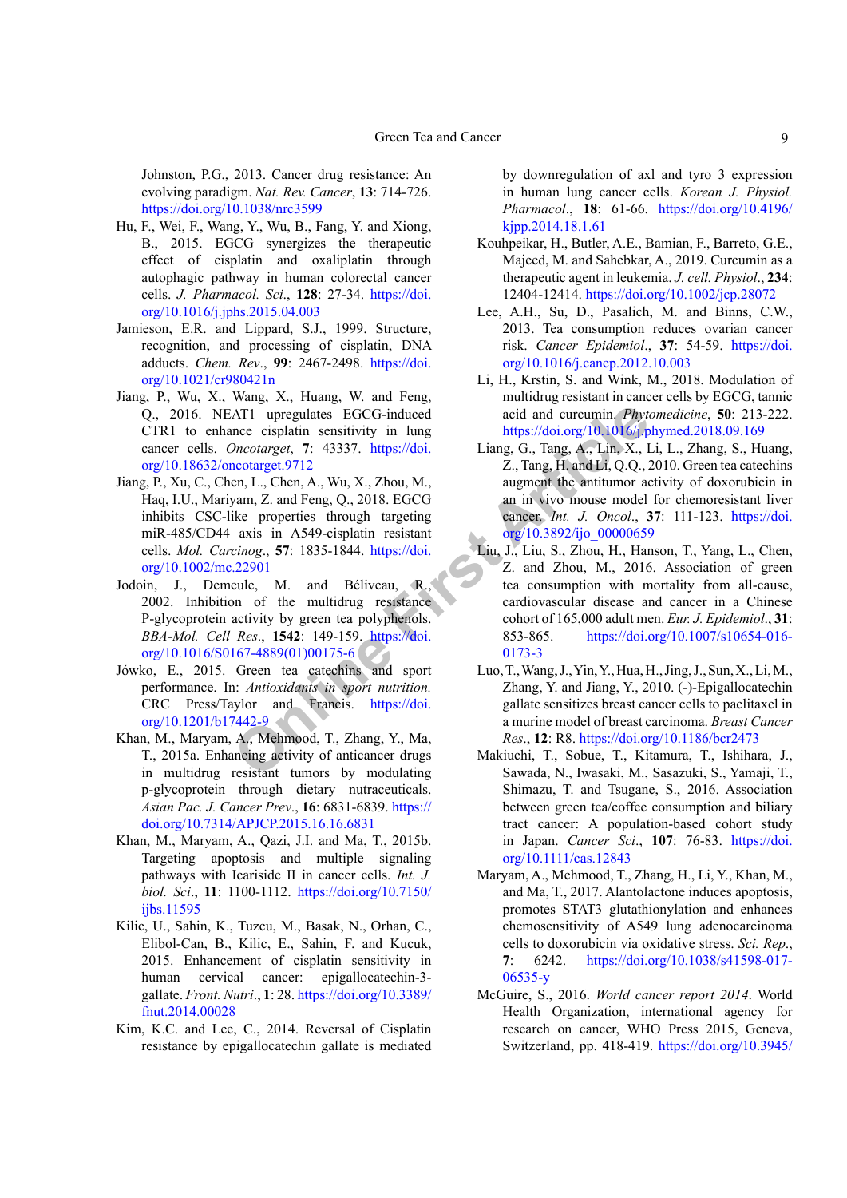Johnston, P.G., 2013. Cancer drug resistance: An evolving paradigm. *Nat. Rev. Cancer*, **13**: 714-726. <https://doi.org/10.1038/nrc3599>

- <span id="page-8-3"></span>Hu, F., Wei, F., Wang, Y., Wu, B., Fang, Y. and Xiong, B., 2015. EGCG synergizes the therapeutic effect of cisplatin and oxaliplatin through autophagic pathway in human colorectal cancer cells. *J. Pharmacol. Sci*., **128**: 27-34. [https://doi.](https://doi.org/10.1016/j.jphs.2015.04.003) [org/10.1016/j.jphs.2015.04.003](https://doi.org/10.1016/j.jphs.2015.04.003)
- Jamieson, E.R. and Lippard, S.J., 1999. Structure, recognition, and processing of cisplatin, DNA adducts. *Chem. Rev*., **99**: 2467-2498. [https://doi.](https://doi.org/10.1021/cr980421n) [org/10.1021/cr980421n](https://doi.org/10.1021/cr980421n)
- <span id="page-8-6"></span>Jiang, P., Wu, X., Wang, X., Huang, W. and Feng, Q., 2016. NEAT1 upregulates EGCG-induced CTR1 to enhance cisplatin sensitivity in lung cancer cells. *Oncotarget*, **7**: 43337. https://doi. [org/10.18632/oncotarget.9712](https://doi.org/10.18632/oncotarget.9712)
- Jiang, P., Xu, C., Chen, L., Chen, A., Wu, X., Zhou, M., Haq, I.U., Mariyam, Z. and Feng, Q., 2018. EGCG inhibits CSC-like properties through targeting miR-485/CD44 axis in A549-cisplatin resistant cells. *Mol. Carcinog*., **57**: 1835-1844. https://doi. [org/10.1002/mc.22901](https://doi.org/10.1002/mc.22901)
- Jodoin, J., Demeule, M. and Béliveau, R. 2002. Inhibition of the multidrug resistance P-glycoprotein activity by green tea polyphenols. *BBA-Mol. Cell Res*., **1542**: 149-159. https://doi. [org/10.1016/S0167-4889\(01\)00175-6](https://doi.org/10.1016/S0167-4889(01)00175-6)
- Jówko, E., 2015. Green tea catechins and sport performance. In: *Antioxidants in sport nutrition.* CRC Press/Taylor and Francis. https://doi. [org/10.1201/b17442-9](https://doi.org/10.1201/b17442-9)
- <span id="page-8-0"></span>Khan, M., Maryam, A., Mehmood, T., Zhang, Y., Ma, T., 2015a. Enhancing activity of anticancer drugs in multidrug resistant tumors by modulating p-glycoprotein through dietary nutraceuticals. *Asian Pac. J. Cancer Prev*., **16**: 6831-6839. [https://](https://doi.org/10.7314/APJCP.2015.16.16.6831) [doi.org/10.7314/APJCP.2015.16.16.6831](https://doi.org/10.7314/APJCP.2015.16.16.6831)
- <span id="page-8-8"></span>Khan, M., Maryam, A., Qazi, J.I. and Ma, T., 2015b. Targeting apoptosis and multiple signaling pathways with Icariside II in cancer cells. *Int. J. biol. Sci*., **11**: 1100-1112. [https://doi.org/10.7150/](https://doi.org/10.7150/ijbs.11595) [ijbs.11595](https://doi.org/10.7150/ijbs.11595)
- <span id="page-8-10"></span>Kilic, U., Sahin, K., Tuzcu, M., Basak, N., Orhan, C., Elibol-Can, B., Kilic, E., Sahin, F. and Kucuk, 2015. Enhancement of cisplatin sensitivity in human cervical cancer: epigallocatechin-3 gallate. *Front. Nutri*., **1**: 28. [https://doi.org/10.3389/](https://doi.org/10.3389/fnut.2014.00028) [fnut.2014.00028](https://doi.org/10.3389/fnut.2014.00028)
- <span id="page-8-7"></span>Kim, K.C. and Lee, C., 2014. Reversal of Cisplatin resistance by epigallocatechin gallate is mediated

by downregulation of axl and tyro 3 expression in human lung cancer cells. *Korean J. Physiol. Pharmacol*., **18**: 61-66. [https://doi.org/10.4196/](https://doi.org/10.4196/kjpp.2014.18.1.61) [kjpp.2014.18.1.61](https://doi.org/10.4196/kjpp.2014.18.1.61)

- <span id="page-8-11"></span>Kouhpeikar, H., Butler, A.E., Bamian, F., Barreto, G.E., Majeed, M. and Sahebkar, A., 2019. Curcumin as a therapeutic agent in leukemia. *J. cell. Physiol*., **234**: 12404-12414. <https://doi.org/10.1002/jcp.28072>
- <span id="page-8-5"></span>Lee, A.H., Su, D., Pasalich, M. and Binns, C.W., 2013. Tea consumption reduces ovarian cancer risk. *Cancer Epidemiol*., **37**: 54-59. [https://doi.](https://doi.org/10.1016/j.canep.2012.10.003) [org/10.1016/j.canep.2012.10.003](https://doi.org/10.1016/j.canep.2012.10.003)
- <span id="page-8-2"></span>Li, H., Krstin, S. and Wink, M., 2018. Modulation of multidrug resistant in cancer cells by EGCG, tannic acid and curcumin. *Phytomedicine*, **50**: 213-222. <https://doi.org/10.1016/j.phymed.2018.09.169>
- <span id="page-8-9"></span><span id="page-8-4"></span><span id="page-8-1"></span>Liang, G., Tang, A., Lin, X., Li, L., Zhang, S., Huang, Z., Tang, H. and Li, Q.Q., 2010. Green tea catechins augment the antitumor activity of doxorubicin in an in vivo mouse model for chemoresistant liver cancer. *Int. J. Oncol*., **37**: 111-123. [https://doi.](https://doi.org/10.3892/ijo_00000659) org/10.3892/ijo\_00000659
- ATI upregula[t](https://doi.org/10.3892/ijo_00000659)es EGCG-induced<br>
acid and curcumin. Phytoncotarget, 7: 43337. https://doi.<br>
Liang, G., Tang, [A](https://doi.org/10.3892/ijo_00000659)., Lin, X., I.<br>
ncotarget, 7: 43337. https://doi.<br>
acid and curcumin. Phytoncotarget, 7: 43337. https://doi.<br>
acid Liu, J., Liu, S., Zhou, H., Hanson, T., Yang, L., Chen, Z. and Zhou, M., 2016. Association of green tea consumption with mortality from all-cause, cardiovascular disease and cancer in a Chinese cohort of 165,000 adult men. *Eur. J. Epidemiol*., **31**: 853-865. [https://doi.org/10.1007/s10654-016-](https://doi.org/10.1007/s10654-016-0173-3) 0173-3
	- Luo, T., Wang, J., Yin, Y., Hua, H., Jing, J., Sun, X., Li, M., Zhang, Y. and Jiang, Y., 2010. (-)-Epigallocatechin gallate sensitizes breast cancer cells to paclitaxel in a murine model of breast carcinoma. *Breast Cancer Res*., **12**: R8.<https://doi.org/10.1186/bcr2473>
	- Makiuchi, T., Sobue, T., Kitamura, T., Ishihara, J., Sawada, N., Iwasaki, M., Sasazuki, S., Yamaji, T., Shimazu, T. and Tsugane, S., 2016. Association between green tea/coffee consumption and biliary tract cancer: A population-based cohort study in Japan. *Cancer Sci*., **107**: 76-83. [https://doi.](https://doi.org/10.1111/cas.12843) [org/10.1111/cas.12843](https://doi.org/10.1111/cas.12843)
	- Maryam, A., Mehmood, T., Zhang, H., Li, Y., Khan, M., and Ma, T., 2017. Alantolactone induces apoptosis, promotes STAT3 glutathionylation and enhances chemosensitivity of A549 lung adenocarcinoma cells to doxorubicin via oxidative stress. *Sci. Rep*., **7**: 6242. [https://doi.org/10.1038/s41598-017-](https://doi.org/10.1038/s41598-017-06535-y) [06535-y](https://doi.org/10.1038/s41598-017-06535-y)
	- McGuire, S., 2016. *World cancer report 2014*. World Health Organization, international agency for research on cancer, WHO Press 2015, Geneva, Switzerland, pp. 418-419. [https://doi.org/10.3945/](https://doi.org/10.3945/an.116.012211)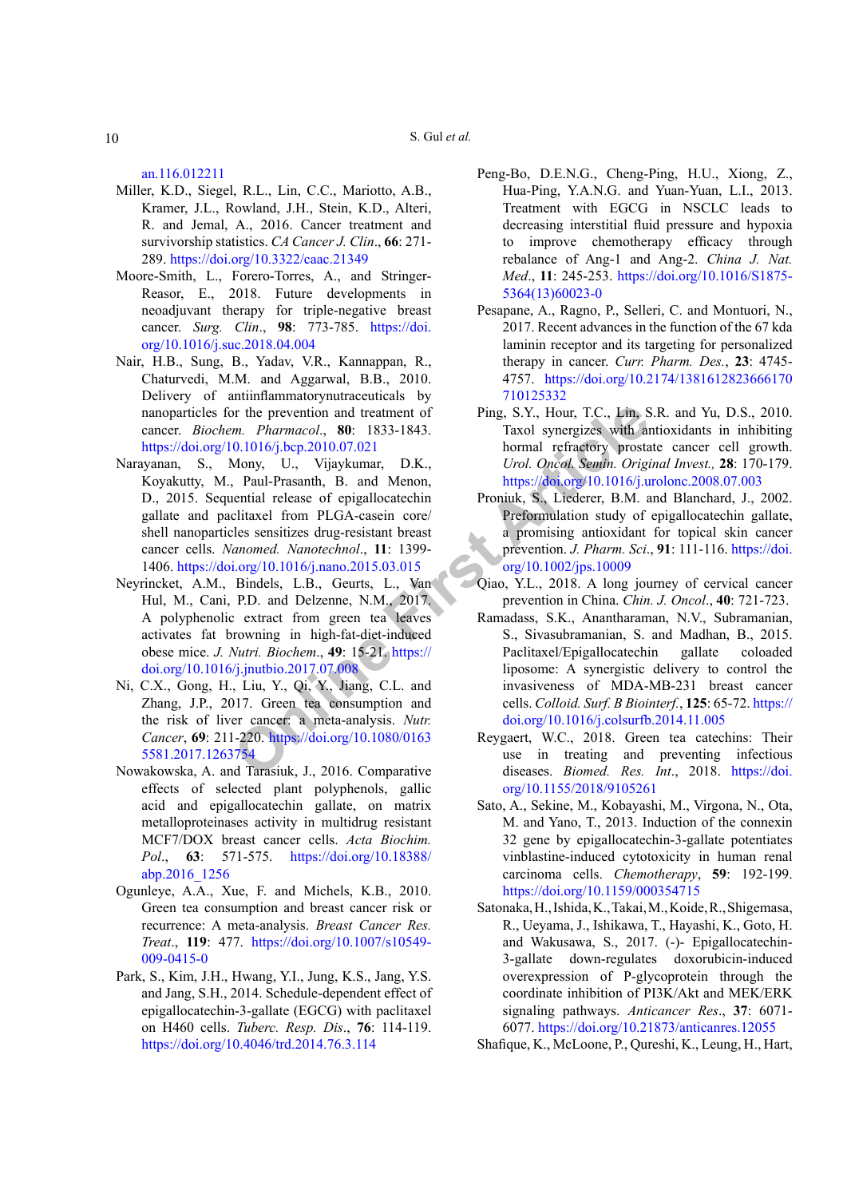S. Gul *et al.*

[an.116.012211](https://doi.org/10.3945/an.116.012211)

- Miller, K.D., Siegel, R.L., Lin, C.C., Mariotto, A.B., Kramer, J.L., Rowland, J.H., Stein, K.D., Alteri, R. and Jemal, A., 2016. Cancer treatment and survivorship statistics. *CA Cancer J. Clin*., **66**: 271- 289. <https://doi.org/10.3322/caac.21349>
- Moore-Smith, L., Forero-Torres, A., and Stringer-Reasor, E., 2018. Future developments in neoadjuvant therapy for triple-negative breast cancer. *Surg. Clin*., **98**: 773-785. [https://doi.](https://doi.org/10.1016/j.suc.2018.04.004) [org/10.1016/j.suc.2018.04.004](https://doi.org/10.1016/j.suc.2018.04.004)
- Nair, H.B., Sung, B., Yadav, V.R., Kannappan, R., Chaturvedi, M.M. and Aggarwal, B.B., 2010. Delivery of antiinflammatorynutraceuticals by nanoparticles for the prevention and treatment of cancer. *Biochem. Pharmacol*., **80**: 1833-1843. <https://doi.org/10.1016/j.bcp.2010.07.021>
- The prevention and treatmen[t](https://doi.org/10.1002/jps.10009) of<br> *Compare in ten and ten and ten and ten and ten and the properties with a<br> O.1016/j.bep.2010.07.021 hormal refractory prosta<br>
Arony U., Vijaykumar, D.K., Urol. [On](https://doi.org/10.1080/01635581.2017.1263754)e Morel, Semin. Original* Narayanan, S., Mony, U., Vijaykumar, D.K., Koyakutty, M., Paul-Prasanth, B. and Menon, D., 2015. Sequential release of epigallocatechin gallate and paclitaxel from PLGA-casein core/ shell nanoparticles sensitizes drug-resistant breast cancer cells. *Nanomed. Nanotechnol*., **11**: 1399- 1406. https://doi.org/10.1016/j.nano.2015.03.015
- Neyrincket, A.M., Bindels, L.B., Geurts, L., Van Hul, M., Cani, P.D. and Delzenne, N.M., 2017. A polyphenolic extract from green tea leaves activates fat browning in high-fat-diet-induced obese mice. *J. Nutri. Biochem*., **49**: 15-21. https:// [doi.org/10.1016/j.jnutbio.2017.07.008](https://doi.org/10.1016/j.jnutbio.2017.07.008)
- Ni, C.X., Gong, H., Liu, Y., Qi, Y., Jiang, C.L. and Zhang, J.P., 2017. Green tea consumption and the risk of liver cancer: a meta-analysis. *Nutr. Cancer*, **69**: 211-220. https://doi.org/10.1080/0163 [5581.2017.1263754](https://doi.org/10.1080/01635581.2017.1263754)
- Nowakowska, A. and Tarasiuk, J., 2016. Comparative effects of selected plant polyphenols, gallic acid and epigallocatechin gallate, on matrix metalloproteinases activity in multidrug resistant MCF7/DOX breast cancer cells. *Acta Biochim. Pol*., **63**: 571-575. [https://doi.org/10.18388/](https://doi.org/10.18388/abp.2016_1256) [abp.2016\\_1256](https://doi.org/10.18388/abp.2016_1256)
- Ogunleye, A.A., Xue, F. and Michels, K.B., 2010. Green tea consumption and breast cancer risk or recurrence: A meta-analysis. *Breast Cancer Res. Treat*., **119**: 477. [https://doi.org/10.1007/s10549-](https://doi.org/10.1007/s10549-009-0415-0) [009-0415-0](https://doi.org/10.1007/s10549-009-0415-0)
- Park, S., Kim, J.H., Hwang, Y.I., Jung, K.S., Jang, Y.S. and Jang, S.H., 2014. Schedule-dependent effect of epigallocatechin-3-gallate (EGCG) with paclitaxel on H460 cells. *Tuberc. Resp. Dis*., **76**: 114-119. <https://doi.org/10.4046/trd.2014.76.3.114>
- Peng-Bo, D.E.N.G., Cheng-Ping, H.U., Xiong, Z., Hua-Ping, Y.A.N.G. and Yuan-Yuan, L.I., 2013. Treatment with EGCG in NSCLC leads to decreasing interstitial fluid pressure and hypoxia to improve chemotherapy efficacy through rebalance of Ang-1 and Ang-2. *China J. Nat. Med*., **11**: 245-253. [https://doi.org/10.1016/S1875-](https://doi.org/10.1016/S1875-5364(13)60023-0) [5364\(13\)60023-0](https://doi.org/10.1016/S1875-5364(13)60023-0)
- Pesapane, A., Ragno, P., Selleri, C. and Montuori, N., 2017. Recent advances in the function of the 67 kda laminin receptor and its targeting for personalized therapy in cancer. *Curr. Pharm. Des.*, **23**: 4745- 4757. [https://doi.org/10.2174/1381612823666170](https://doi.org/10.2174/1381612823666170710125332) [710125332](https://doi.org/10.2174/1381612823666170710125332)
- Ping, S.Y., Hour, T.C., Lin, S.R. and Yu, D.S., 2010. Taxol synergizes with antioxidants in inhibiting hormal refractory prostate cancer cell growth. *Urol. Oncol. Semin. Original Invest.,* **28**: 170-179. <https://doi.org/10.1016/j.urolonc.2008.07.003>
- Proniuk, S., Liederer, B.M. and Blanchard, J., 2002. Preformulation study of epigallocatechin gallate, a promising antioxidant for topical skin cancer prevention. *J. Pharm. Sci*., **91**: 111-116. [https://doi.](https://doi.org/10.1002/jps.10009) org/10.1002/jps.10009
- Qiao, Y.L., 2018. A long journey of cervical cancer prevention in China. *Chin. J. Oncol*., **40**: 721-723.
- Ramadass, S.K., Anantharaman, N.V., Subramanian, S., Sivasubramanian, S. and Madhan, B., 2015. Paclitaxel/Epigallocatechin gallate coloaded liposome: A synergistic delivery to control the invasiveness of MDA-MB-231 breast cancer cells. *Colloid. Surf. B Biointerf.*, **125**: 65-72. [https://](https://doi.org/10.1016/j.colsurfb.2014.11.005) [doi.org/10.1016/j.colsurfb.2014.11.005](https://doi.org/10.1016/j.colsurfb.2014.11.005)
- Reygaert, W.C., 2018. Green tea catechins: Their use in treating and preventing infectious diseases. *Biomed. Res. Int*., 2018. [https://doi.](https://doi.org/10.1155/2018/9105261) [org/10.1155/2018/9105261](https://doi.org/10.1155/2018/9105261)
- Sato, A., Sekine, M., Kobayashi, M., Virgona, N., Ota, M. and Yano, T., 2013. Induction of the connexin 32 gene by epigallocatechin-3-gallate potentiates vinblastine-induced cytotoxicity in human renal carcinoma cells. *Chemotherapy*, **59**: 192-199. <https://doi.org/10.1159/000354715>
- Satonaka, H., Ishida, K., Takai, M., Koide, R., Shigemasa, R., Ueyama, J., Ishikawa, T., Hayashi, K., Goto, H. and Wakusawa, S., 2017. (-)- Epigallocatechin-3-gallate down-regulates doxorubicin-induced overexpression of P-glycoprotein through the coordinate inhibition of PI3K/Akt and MEK/ERK signaling pathways. *Anticancer Res*., **37**: 6071- 6077.<https://doi.org/10.21873/anticanres.12055>
- Shafique, K., McLoone, P., Qureshi, K., Leung, H., Hart,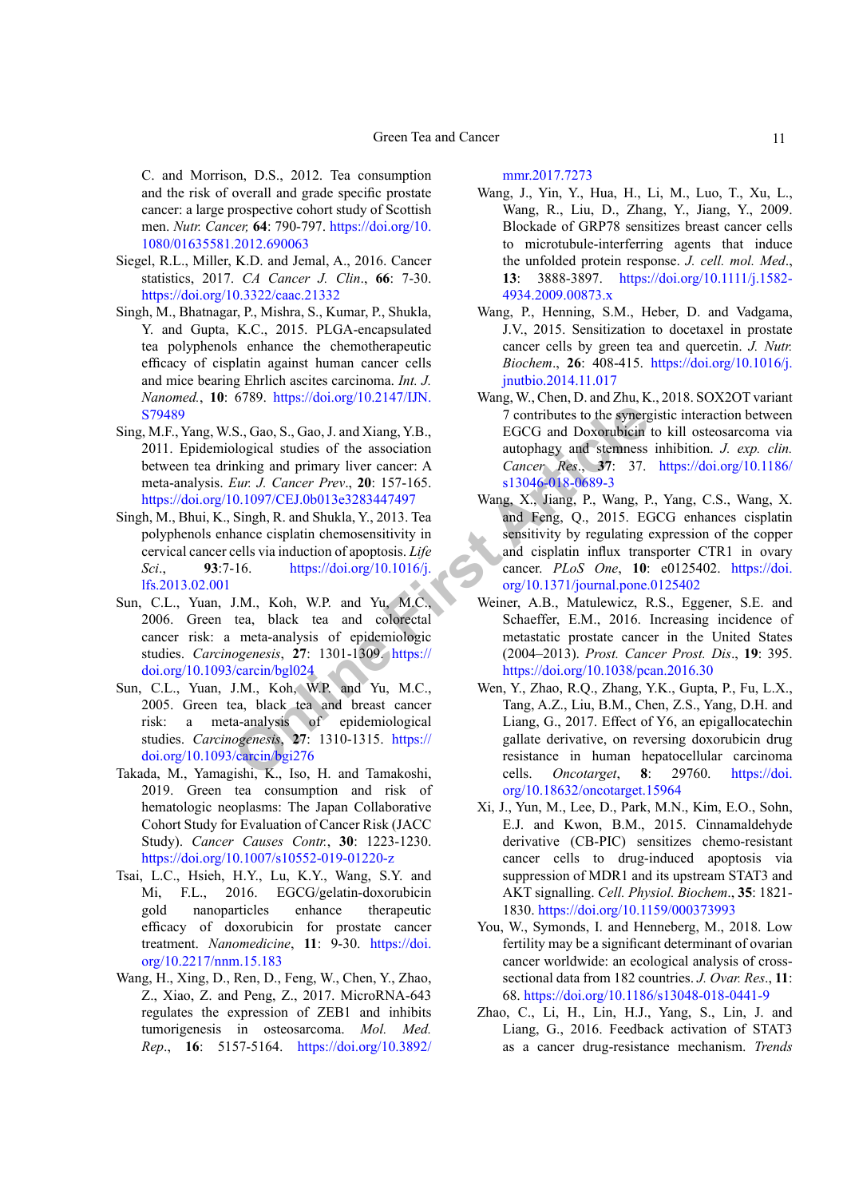C. and Morrison, D.S., 2012. Tea consumption and the risk of overall and grade specific prostate cancer: a large prospective cohort study of Scottish men. *Nutr. Cancer,* **64**: 790-797. [https://doi.org/10.](https://doi.org/10.1080/01635581.2012.690063) [1080/01635581.2012.690063](https://doi.org/10.1080/01635581.2012.690063)

- Siegel, R.L., Miller, K.D. and Jemal, A., 2016. Cancer statistics, 2017. *CA Cancer J. Clin*., **66**: 7-30. <https://doi.org/10.3322/caac.21332>
- Singh, M., Bhatnagar, P., Mishra, S., Kumar, P., Shukla, Y. and Gupta, K.C., 2015. PLGA-encapsulated tea polyphenols enhance the chemotherapeutic efficacy of cisplatin against human cancer cells and mice bearing Ehrlich ascites carcinoma. *Int. J. Nanomed.*, **10**: 6789. [https://doi.org/10.2147/IJN.](https://doi.org/10.2147/IJN.S79489) [S79489](https://doi.org/10.2147/IJN.S79489)
- Sing, M.F., Yang, W.S., Gao, S., Gao, J. and Xiang, Y.B., 2011. Epidemiological studies of the association between tea drinking and primary liver cancer: A meta-analysis. *Eur. J. Cancer Prev*., **20**: 157-165. <https://doi.org/10.1097/CEJ.0b013e3283447497>
- Singh, M., Bhui, K., Singh, R. and Shukla, Y., 2013. Tea polyphenols enhance cisplatin chemosensitivity in cervical cancer cells via induction of apoptosis. *Life Sci*., **93**:7-16. https://doi.org/10.1016/j. [lfs.2013.02.001](https://doi.org/10.1016/j.lfs.2013.02.001)
- Sun, C.L., Yuan, J.M., Koh, W.P. and Yu, M.C., 2006. Green tea, black tea and colorectal cancer risk: a meta-analysis of epidemiologic studies. *Carcinogenesis*, **27**: 1301-1309. https:// [doi.org/10.1093/carcin/bgl024](https://doi.org/10.1093/carcin/bgl024)
- Sun, C.L., Yuan, J.M., Koh, W.P. and Yu, M.C., 2005. Green tea, black tea and breast cancer risk: a meta-analysis of epidemiological studies. *Carcinogenesis*, **27**: 1310-1315. https:// [doi.org/10.1093/carcin/bgi276](https://doi.org/10.1093/carcin/bgi276)
- Takada, M., Yamagishi, K., Iso, H. and Tamakoshi, 2019. Green tea consumption and risk of hematologic neoplasms: The Japan Collaborative Cohort Study for Evaluation of Cancer Risk (JACC Study). *Cancer Causes Contr.*, **30**: 1223-1230. <https://doi.org/10.1007/s10552-019-01220-z>
- Tsai, L.C., Hsieh, H.Y., Lu, K.Y., Wang, S.Y. and Mi, F.L., 2016. EGCG/gelatin-doxorubicin gold nanoparticles enhance therapeutic efficacy of doxorubicin for prostate cancer treatment. *Nanomedicine*, **11**: 9-30. [https://doi.](https://doi.org/10.2217/nnm.15.183) [org/10.2217/nnm.15.183](https://doi.org/10.2217/nnm.15.183)
- Wang, H., Xing, D., Ren, D., Feng, W., Chen, Y., Zhao, Z., Xiao, Z. and Peng, Z., 2017. MicroRNA-643 regulates the expression of ZEB1 and inhibits tumorigenesis in osteosarcoma. *Mol. Med. Rep*., **16**: 5157-5164. [https://doi.org/10.3892/](https://doi.org/10.3892/mmr.2017.7273)

[mmr.2017.7273](https://doi.org/10.3892/mmr.2017.7273)

- Wang, J., Yin, Y., Hua, H., Li, M., Luo, T., Xu, L., Wang, R., Liu, D., Zhang, Y., Jiang, Y., 2009. Blockade of GRP78 sensitizes breast cancer cells to microtubule-interferring agents that induce the unfolded protein response. *J. cell. mol. Med*., **13**: 3888-3897. [https://doi.org/10.1111/j.1582-](https://doi.org/10.1111/j.1582-4934.2009.00873.x) [4934.2009.00873.x](https://doi.org/10.1111/j.1582-4934.2009.00873.x)
- Wang, P., Henning, S.M., Heber, D. and Vadgama, J.V., 2015. Sensitization to docetaxel in prostate cancer cells by green tea and quercetin. *J. Nutr. Biochem*., **26**: 408-415. [https://doi.org/10.1016/j.](https://doi.org/10.1016/j.jnutbio.2014.11.017) [jnutbio.2014.11.017](https://doi.org/10.1016/j.jnutbio.2014.11.017)
- Wang, W., Chen, D. and Zhu, K., 2018. SOX2OT variant 7 contributes to the synergistic interaction between EGCG and Doxorubicin to kill osteosarcoma via autophagy and stemness inhibition. *J. exp. clin. Cancer Res*., **37**: 37. [https://doi.org/10.1186/](https://doi.org/10.1186/s13046-018-0689-3) s13046-018-0689-3
- S., Gao, S., Gao, J. and Xiang, Y.B.,<br>
Dontributes to th[e](https://doi.org/10.1093/carcin/bgl024) syne[r](https://doi.org/10.1016/j.lfs.2013.02.001)gy<br>
Inchiral studies of the association<br>
Inchiral studies of the association<br>
Inchiral statements and primary liver cancer. According and stemness<br>
Eur. J. Can Wang, X., Jiang, P., Wang, P., Yang, C.S., Wang, X. and Feng, Q., 2015. EGCG enhances cisplatin sensitivity by regulating expression of the copper and cisplatin influx transporter CTR1 in ovary cancer. *PLoS One*, **10**: e0125402. [https://doi.](https://doi.org/10.1371/journal.pone.0125402) [org/10.1371/journal.pone.0125402](https://doi.org/10.1371/journal.pone.0125402)
	- Weiner, A.B., Matulewicz, R.S., Eggener, S.E. and Schaeffer, E.M., 2016. Increasing incidence of metastatic prostate cancer in the United States (2004–2013). *Prost. Cancer Prost. Dis*., **19**: 395. <https://doi.org/10.1038/pcan.2016.30>
	- Wen, Y., Zhao, R.Q., Zhang, Y.K., Gupta, P., Fu, L.X., Tang, A.Z., Liu, B.M., Chen, Z.S., Yang, D.H. and Liang, G., 2017. Effect of Y6, an epigallocatechin gallate derivative, on reversing doxorubicin drug resistance in human hepatocellular carcinoma cells. *Oncotarget*, **8**: 29760. [https://doi.](https://doi.org/10.18632/oncotarget.15964) [org/10.18632/oncotarget.15964](https://doi.org/10.18632/oncotarget.15964)
	- Xi, J., Yun, M., Lee, D., Park, M.N., Kim, E.O., Sohn, E.J. and Kwon, B.M., 2015. Cinnamaldehyde derivative (CB-PIC) sensitizes chemo-resistant cancer cells to drug-induced apoptosis via suppression of MDR1 and its upstream STAT3 and AKT signalling. *Cell. Physiol. Biochem*., **35**: 1821- 1830.<https://doi.org/10.1159/000373993>
	- You, W., Symonds, I. and Henneberg, M., 2018. Low fertility may be a significant determinant of ovarian cancer worldwide: an ecological analysis of crosssectional data from 182 countries. *J. Ovar. Res*., **11**: 68.<https://doi.org/10.1186/s13048-018-0441-9>
	- Zhao, C., Li, H., Lin, H.J., Yang, S., Lin, J. and Liang, G., 2016. Feedback activation of STAT3 as a cancer drug-resistance mechanism. *Trends*